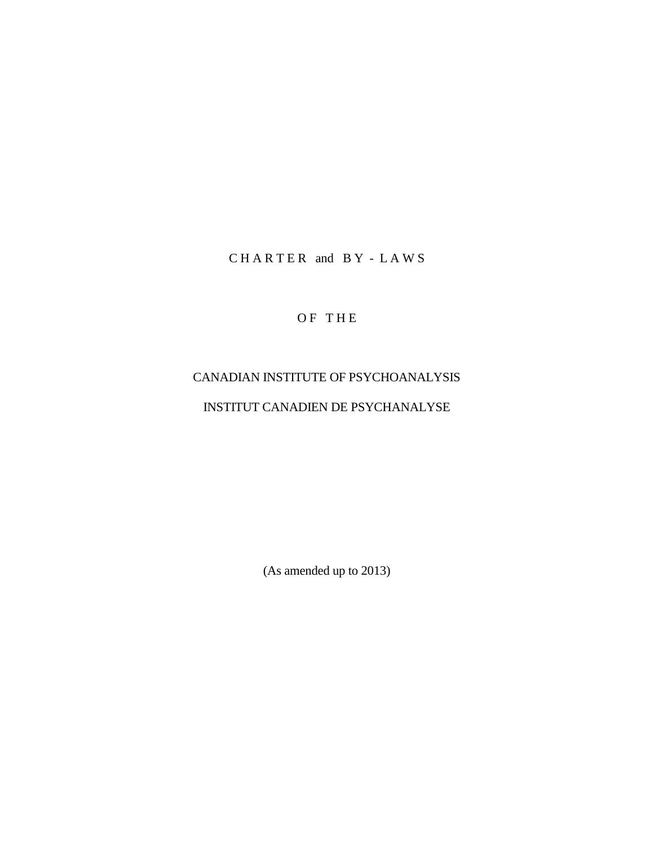CHARTER and BY - LAWS

OF THE

# CANADIAN INSTITUTE OF PSYCHOANALYSIS INSTITUT CANADIEN DE PSYCHANALYSE

(As amended up to 2013)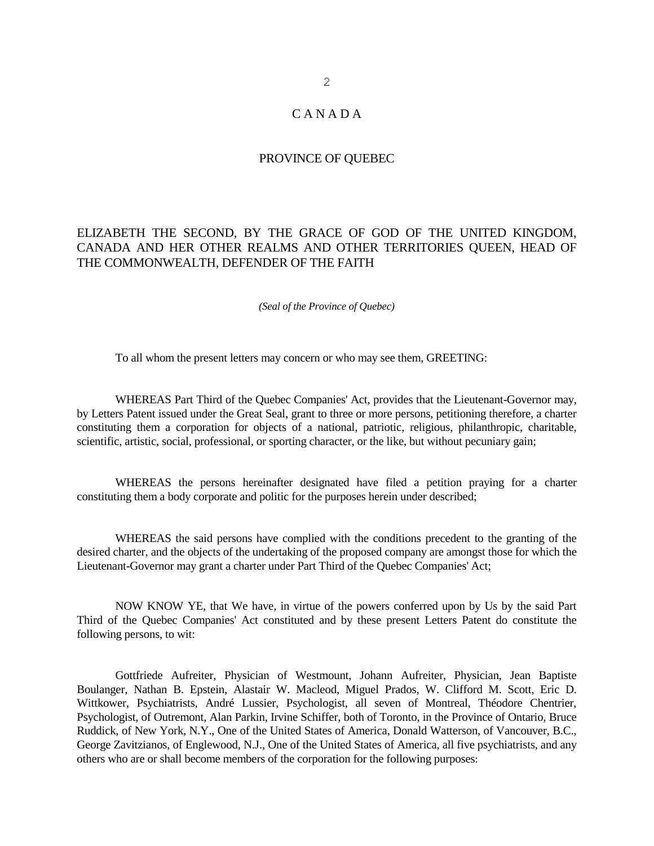# C A N A D A

#### PROVINCE OF QUEBEC

## ELIZABETH THE SECOND, BY THE GRACE OF GOD OF THE UNITED KINGDOM, CANADA AND HER OTHER REALMS AND OTHER TERRITORIES QUEEN, HEAD OF THE COMMONWEALTH, DEFENDER OF THE FAITH

*(Seal of the Province of Quebec)*

To all whom the present letters may concern or who may see them, GREETING:

WHEREAS Part Third of the Quebec Companies' Act, provides that the Lieutenant-Governor may, by Letters Patent issued under the Great Seal, grant to three or more persons, petitioning therefore, a charter constituting them a corporation for objects of a national, patriotic, religious, philanthropic, charitable, scientific, artistic, social, professional, or sporting character, or the like, but without pecuniary gain;

WHEREAS the persons hereinafter designated have filed a petition praying for a charter constituting them a body corporate and politic for the purposes herein under described;

WHEREAS the said persons have complied with the conditions precedent to the granting of the desired charter, and the objects of the undertaking of the proposed company are amongst those for which the Lieutenant-Governor may grant a charter under Part Third of the Quebec Companies' Act;

NOW KNOW YE, that We have, in virtue of the powers conferred upon by Us by the said Part Third of the Quebec Companies' Act constituted and by these present Letters Patent do constitute the following persons, to wit:

Gottfriede Aufreiter, Physician of Westmount, Johann Aufreiter, Physician, Jean Baptiste Boulanger, Nathan B. Epstein, Alastair W. Macleod, Miguel Prados, W. Clifford M. Scott, Eric D. Wittkower, Psychiatrists, André Lussier, Psychologist, all seven of Montreal, Théodore Chentrier, Psychologist, of Outremont, Alan Parkin, Irvine Schiffer, both of Toronto, in the Province of Ontario, Bruce Ruddick, of New York, N.Y., One of the United States of America, Donald Watterson, of Vancouver, B.C., George Zavitzianos, of Englewood, N.J., One of the United States of America, all five psychiatrists, and any others who are or shall become members of the corporation for the following purposes: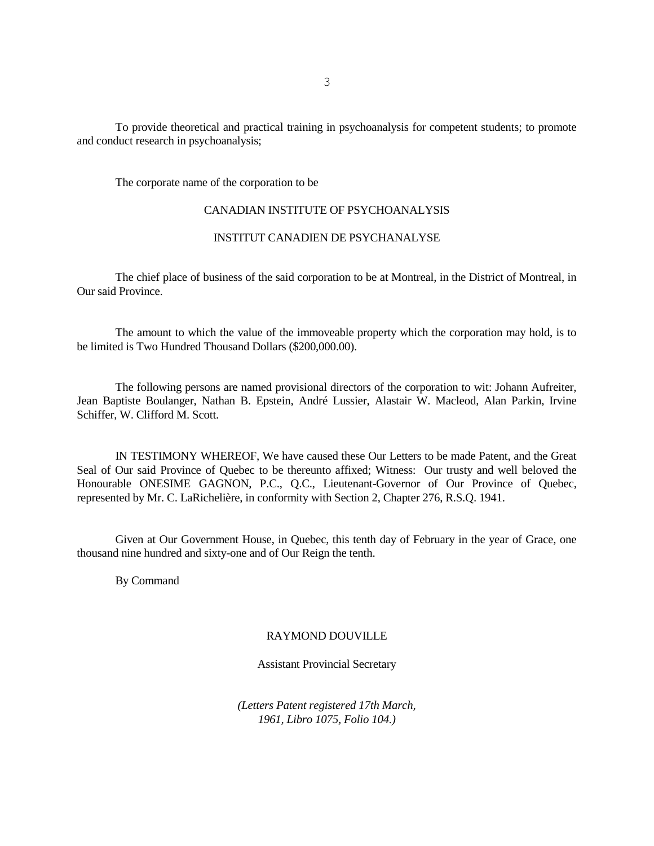To provide theoretical and practical training in psychoanalysis for competent students; to promote and conduct research in psychoanalysis;

The corporate name of the corporation to be

#### CANADIAN INSTITUTE OF PSYCHOANALYSIS

## INSTITUT CANADIEN DE PSYCHANALYSE

The chief place of business of the said corporation to be at Montreal, in the District of Montreal, in Our said Province.

The amount to which the value of the immoveable property which the corporation may hold, is to be limited is Two Hundred Thousand Dollars (\$200,000.00).

The following persons are named provisional directors of the corporation to wit: Johann Aufreiter, Jean Baptiste Boulanger, Nathan B. Epstein, André Lussier, Alastair W. Macleod, Alan Parkin, Irvine Schiffer, W. Clifford M. Scott.

IN TESTIMONY WHEREOF, We have caused these Our Letters to be made Patent, and the Great Seal of Our said Province of Quebec to be thereunto affixed; Witness: Our trusty and well beloved the Honourable ONESIME GAGNON, P.C., Q.C., Lieutenant-Governor of Our Province of Quebec, represented by Mr. C. LaRichelière, in conformity with Section 2, Chapter 276, R.S.Q. 1941.

Given at Our Government House, in Quebec, this tenth day of February in the year of Grace, one thousand nine hundred and sixty-one and of Our Reign the tenth.

By Command

#### RAYMOND DOUVILLE

Assistant Provincial Secretary

*(Letters Patent registered 17th March, 1961, Libro 1075, Folio 104.)*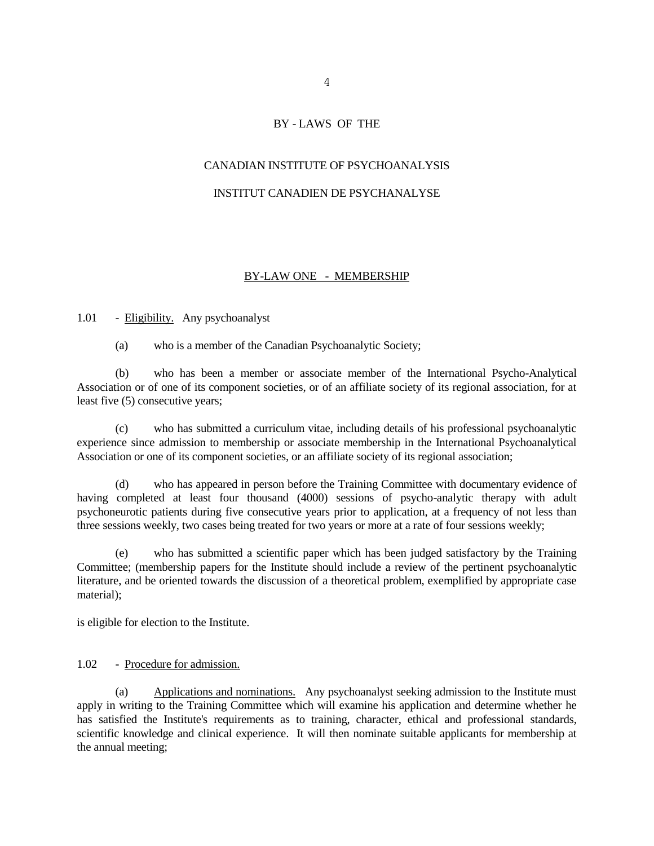#### BY - LAWS OF THE

#### CANADIAN INSTITUTE OF PSYCHOANALYSIS

#### INSTITUT CANADIEN DE PSYCHANALYSE

#### BY-LAW ONE - MEMBERSHIP

## 1.01 - Eligibility. Any psychoanalyst

(a) who is a member of the Canadian Psychoanalytic Society;

(b) who has been a member or associate member of the International Psycho-Analytical Association or of one of its component societies, or of an affiliate society of its regional association, for at least five (5) consecutive years;

(c) who has submitted a curriculum vitae, including details of his professional psychoanalytic experience since admission to membership or associate membership in the International Psychoanalytical Association or one of its component societies, or an affiliate society of its regional association;

(d) who has appeared in person before the Training Committee with documentary evidence of having completed at least four thousand (4000) sessions of psycho-analytic therapy with adult psychoneurotic patients during five consecutive years prior to application, at a frequency of not less than three sessions weekly, two cases being treated for two years or more at a rate of four sessions weekly;

(e) who has submitted a scientific paper which has been judged satisfactory by the Training Committee; (membership papers for the Institute should include a review of the pertinent psychoanalytic literature, and be oriented towards the discussion of a theoretical problem, exemplified by appropriate case material);

is eligible for election to the Institute.

## 1.02 - Procedure for admission.

(a) Applications and nominations. Any psychoanalyst seeking admission to the Institute must apply in writing to the Training Committee which will examine his application and determine whether he has satisfied the Institute's requirements as to training, character, ethical and professional standards, scientific knowledge and clinical experience. It will then nominate suitable applicants for membership at the annual meeting;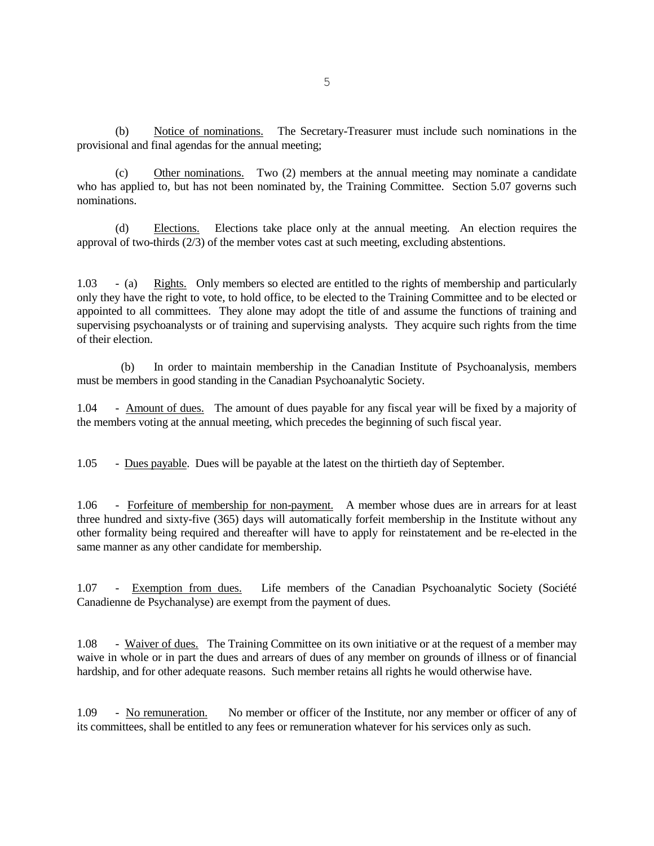(b) Notice of nominations. The Secretary-Treasurer must include such nominations in the provisional and final agendas for the annual meeting;

(c) Other nominations. Two (2) members at the annual meeting may nominate a candidate who has applied to, but has not been nominated by, the Training Committee. Section 5.07 governs such nominations.

(d) Elections. Elections take place only at the annual meeting. An election requires the approval of two-thirds (2/3) of the member votes cast at such meeting, excluding abstentions.

1.03 - (a) Rights. Only members so elected are entitled to the rights of membership and particularly only they have the right to vote, to hold office, to be elected to the Training Committee and to be elected or appointed to all committees. They alone may adopt the title of and assume the functions of training and supervising psychoanalysts or of training and supervising analysts. They acquire such rights from the time of their election.

 (b) In order to maintain membership in the Canadian Institute of Psychoanalysis, members must be members in good standing in the Canadian Psychoanalytic Society.

1.04 - Amount of dues. The amount of dues payable for any fiscal year will be fixed by a majority of the members voting at the annual meeting, which precedes the beginning of such fiscal year.

1.05 - Dues payable. Dues will be payable at the latest on the thirtieth day of September.

1.06 - Forfeiture of membership for non-payment. A member whose dues are in arrears for at least three hundred and sixty-five (365) days will automatically forfeit membership in the Institute without any other formality being required and thereafter will have to apply for reinstatement and be re-elected in the same manner as any other candidate for membership.

1.07 - Exemption from dues. Life members of the Canadian Psychoanalytic Society (Société Canadienne de Psychanalyse) are exempt from the payment of dues.

1.08 - Waiver of dues. The Training Committee on its own initiative or at the request of a member may waive in whole or in part the dues and arrears of dues of any member on grounds of illness or of financial hardship, and for other adequate reasons. Such member retains all rights he would otherwise have.

1.09 - No remuneration. No member or officer of the Institute, nor any member or officer of any of its committees, shall be entitled to any fees or remuneration whatever for his services only as such.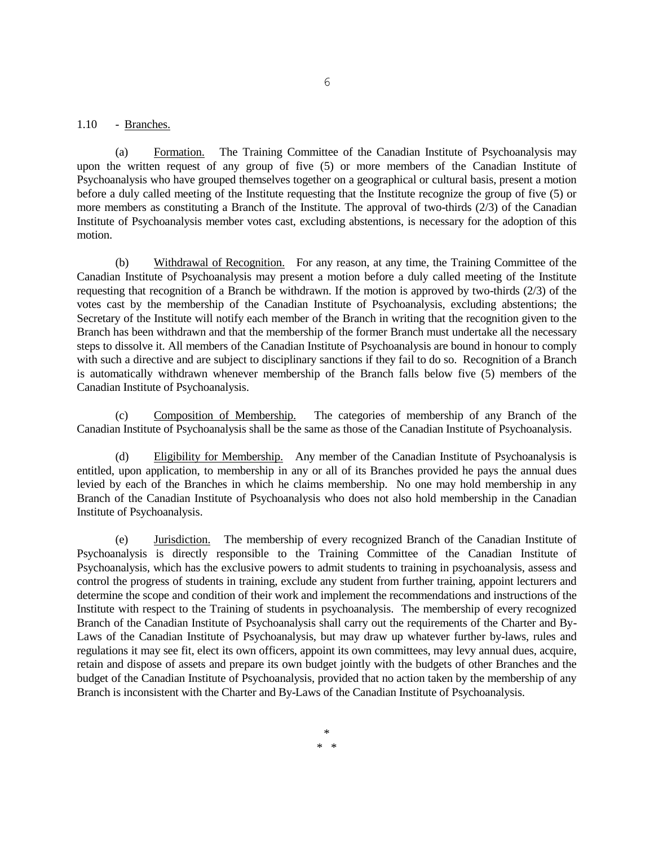#### 1.10 - Branches.

(a) Formation. The Training Committee of the Canadian Institute of Psychoanalysis may upon the written request of any group of five (5) or more members of the Canadian Institute of Psychoanalysis who have grouped themselves together on a geographical or cultural basis, present a motion before a duly called meeting of the Institute requesting that the Institute recognize the group of five (5) or more members as constituting a Branch of the Institute. The approval of two-thirds (2/3) of the Canadian Institute of Psychoanalysis member votes cast, excluding abstentions, is necessary for the adoption of this motion.

(b) Withdrawal of Recognition. For any reason, at any time, the Training Committee of the Canadian Institute of Psychoanalysis may present a motion before a duly called meeting of the Institute requesting that recognition of a Branch be withdrawn. If the motion is approved by two-thirds (2/3) of the votes cast by the membership of the Canadian Institute of Psychoanalysis, excluding abstentions; the Secretary of the Institute will notify each member of the Branch in writing that the recognition given to the Branch has been withdrawn and that the membership of the former Branch must undertake all the necessary steps to dissolve it. All members of the Canadian Institute of Psychoanalysis are bound in honour to comply with such a directive and are subject to disciplinary sanctions if they fail to do so. Recognition of a Branch is automatically withdrawn whenever membership of the Branch falls below five (5) members of the Canadian Institute of Psychoanalysis.

(c) Composition of Membership. The categories of membership of any Branch of the Canadian Institute of Psychoanalysis shall be the same as those of the Canadian Institute of Psychoanalysis.

(d) Eligibility for Membership. Any member of the Canadian Institute of Psychoanalysis is entitled, upon application, to membership in any or all of its Branches provided he pays the annual dues levied by each of the Branches in which he claims membership. No one may hold membership in any Branch of the Canadian Institute of Psychoanalysis who does not also hold membership in the Canadian Institute of Psychoanalysis.

(e) Jurisdiction. The membership of every recognized Branch of the Canadian Institute of Psychoanalysis is directly responsible to the Training Committee of the Canadian Institute of Psychoanalysis, which has the exclusive powers to admit students to training in psychoanalysis, assess and control the progress of students in training, exclude any student from further training, appoint lecturers and determine the scope and condition of their work and implement the recommendations and instructions of the Institute with respect to the Training of students in psychoanalysis. The membership of every recognized Branch of the Canadian Institute of Psychoanalysis shall carry out the requirements of the Charter and By-Laws of the Canadian Institute of Psychoanalysis, but may draw up whatever further by-laws, rules and regulations it may see fit, elect its own officers, appoint its own committees, may levy annual dues, acquire, retain and dispose of assets and prepare its own budget jointly with the budgets of other Branches and the budget of the Canadian Institute of Psychoanalysis, provided that no action taken by the membership of any Branch is inconsistent with the Charter and By-Laws of the Canadian Institute of Psychoanalysis.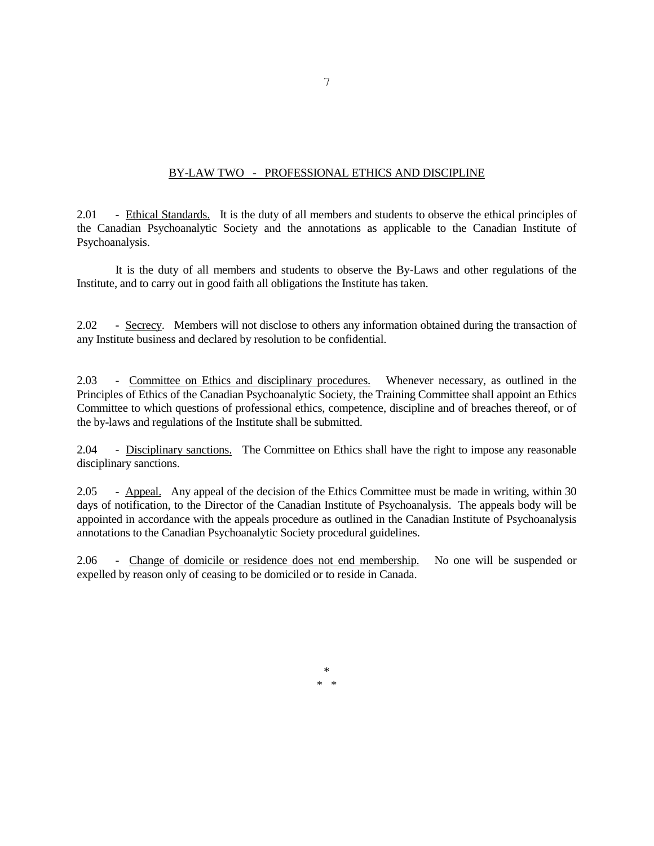## BY-LAW TWO - PROFESSIONAL ETHICS AND DISCIPLINE

2.01 - Ethical Standards. It is the duty of all members and students to observe the ethical principles of the Canadian Psychoanalytic Society and the annotations as applicable to the Canadian Institute of Psychoanalysis.

It is the duty of all members and students to observe the By-Laws and other regulations of the Institute, and to carry out in good faith all obligations the Institute has taken.

2.02 - Secrecy. Members will not disclose to others any information obtained during the transaction of any Institute business and declared by resolution to be confidential.

2.03 - Committee on Ethics and disciplinary procedures. Whenever necessary, as outlined in the Principles of Ethics of the Canadian Psychoanalytic Society, the Training Committee shall appoint an Ethics Committee to which questions of professional ethics, competence, discipline and of breaches thereof, or of the by-laws and regulations of the Institute shall be submitted.

2.04 - Disciplinary sanctions. The Committee on Ethics shall have the right to impose any reasonable disciplinary sanctions.

2.05 - Appeal. Any appeal of the decision of the Ethics Committee must be made in writing, within 30 days of notification, to the Director of the Canadian Institute of Psychoanalysis. The appeals body will be appointed in accordance with the appeals procedure as outlined in the Canadian Institute of Psychoanalysis annotations to the Canadian Psychoanalytic Society procedural guidelines.

2.06 - Change of domicile or residence does not end membership. No one will be suspended or expelled by reason only of ceasing to be domiciled or to reside in Canada.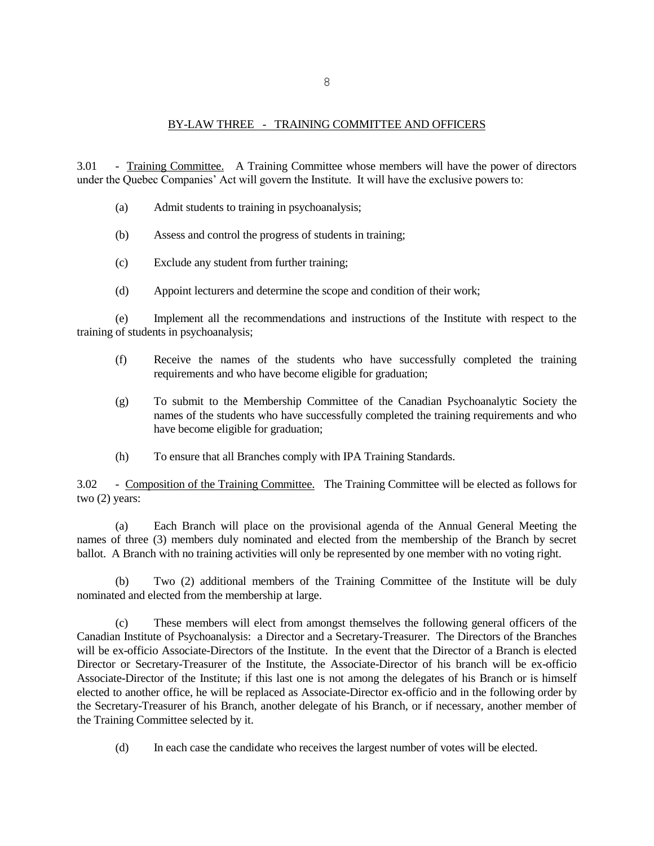## BY-LAW THREE - TRAINING COMMITTEE AND OFFICERS

3.01 - Training Committee. A Training Committee whose members will have the power of directors under the Quebec Companies' Act will govern the Institute. It will have the exclusive powers to:

- (a) Admit students to training in psychoanalysis;
- (b) Assess and control the progress of students in training;
- (c) Exclude any student from further training;
- (d) Appoint lecturers and determine the scope and condition of their work;

(e) Implement all the recommendations and instructions of the Institute with respect to the training of students in psychoanalysis;

- (f) Receive the names of the students who have successfully completed the training requirements and who have become eligible for graduation;
- (g) To submit to the Membership Committee of the Canadian Psychoanalytic Society the names of the students who have successfully completed the training requirements and who have become eligible for graduation;
- (h) To ensure that all Branches comply with IPA Training Standards.

3.02 - Composition of the Training Committee. The Training Committee will be elected as follows for two (2) years:

(a) Each Branch will place on the provisional agenda of the Annual General Meeting the names of three (3) members duly nominated and elected from the membership of the Branch by secret ballot. A Branch with no training activities will only be represented by one member with no voting right.

Two (2) additional members of the Training Committee of the Institute will be duly nominated and elected from the membership at large.

(c) These members will elect from amongst themselves the following general officers of the Canadian Institute of Psychoanalysis: a Director and a Secretary-Treasurer. The Directors of the Branches will be ex-officio Associate-Directors of the Institute. In the event that the Director of a Branch is elected Director or Secretary-Treasurer of the Institute, the Associate-Director of his branch will be ex-officio Associate-Director of the Institute; if this last one is not among the delegates of his Branch or is himself elected to another office, he will be replaced as Associate-Director ex-officio and in the following order by the Secretary-Treasurer of his Branch, another delegate of his Branch, or if necessary, another member of the Training Committee selected by it.

(d) In each case the candidate who receives the largest number of votes will be elected.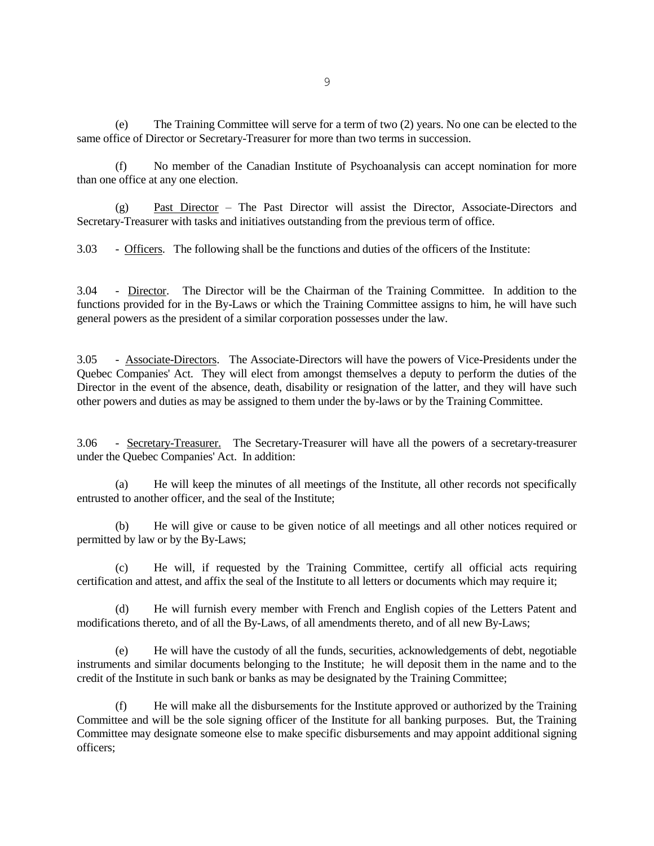(e) The Training Committee will serve for a term of two (2) years. No one can be elected to the same office of Director or Secretary-Treasurer for more than two terms in succession.

(f) No member of the Canadian Institute of Psychoanalysis can accept nomination for more than one office at any one election.

(g) Past Director – The Past Director will assist the Director, Associate-Directors and Secretary-Treasurer with tasks and initiatives outstanding from the previous term of office.

3.03 - Officers. The following shall be the functions and duties of the officers of the Institute:

3.04 - Director. The Director will be the Chairman of the Training Committee. In addition to the functions provided for in the By-Laws or which the Training Committee assigns to him, he will have such general powers as the president of a similar corporation possesses under the law.

3.05 - Associate-Directors. The Associate-Directors will have the powers of Vice-Presidents under the Quebec Companies' Act. They will elect from amongst themselves a deputy to perform the duties of the Director in the event of the absence, death, disability or resignation of the latter, and they will have such other powers and duties as may be assigned to them under the by-laws or by the Training Committee.

3.06 - Secretary-Treasurer. The Secretary-Treasurer will have all the powers of a secretary-treasurer under the Quebec Companies' Act. In addition:

(a) He will keep the minutes of all meetings of the Institute, all other records not specifically entrusted to another officer, and the seal of the Institute;

(b) He will give or cause to be given notice of all meetings and all other notices required or permitted by law or by the By-Laws;

(c) He will, if requested by the Training Committee, certify all official acts requiring certification and attest, and affix the seal of the Institute to all letters or documents which may require it;

(d) He will furnish every member with French and English copies of the Letters Patent and modifications thereto, and of all the By-Laws, of all amendments thereto, and of all new By-Laws;

(e) He will have the custody of all the funds, securities, acknowledgements of debt, negotiable instruments and similar documents belonging to the Institute; he will deposit them in the name and to the credit of the Institute in such bank or banks as may be designated by the Training Committee;

(f) He will make all the disbursements for the Institute approved or authorized by the Training Committee and will be the sole signing officer of the Institute for all banking purposes. But, the Training Committee may designate someone else to make specific disbursements and may appoint additional signing officers;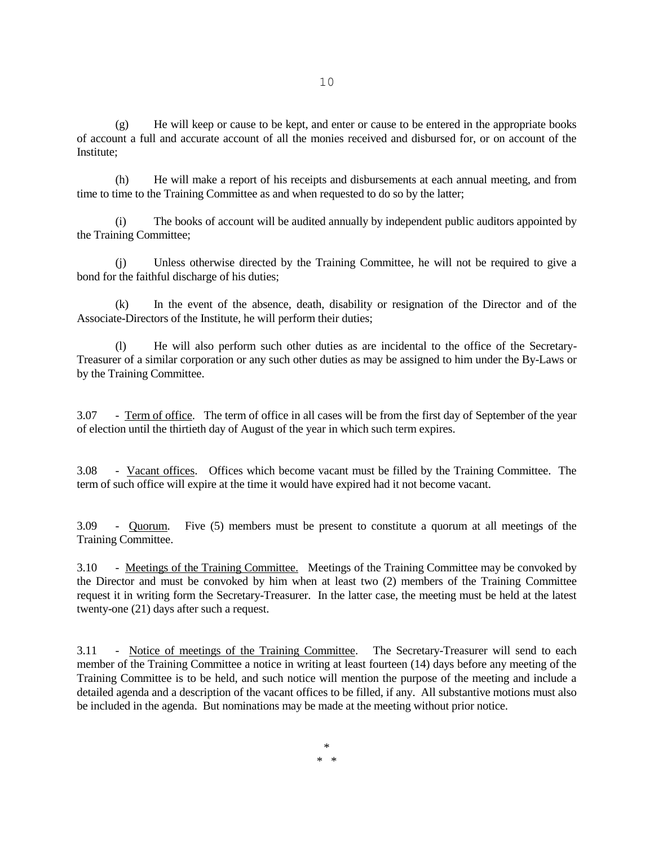(g) He will keep or cause to be kept, and enter or cause to be entered in the appropriate books of account a full and accurate account of all the monies received and disbursed for, or on account of the Institute;

(h) He will make a report of his receipts and disbursements at each annual meeting, and from time to time to the Training Committee as and when requested to do so by the latter;

(i) The books of account will be audited annually by independent public auditors appointed by the Training Committee;

(j) Unless otherwise directed by the Training Committee, he will not be required to give a bond for the faithful discharge of his duties;

(k) In the event of the absence, death, disability or resignation of the Director and of the Associate-Directors of the Institute, he will perform their duties;

(l) He will also perform such other duties as are incidental to the office of the Secretary-Treasurer of a similar corporation or any such other duties as may be assigned to him under the By-Laws or by the Training Committee.

3.07 - Term of office. The term of office in all cases will be from the first day of September of the year of election until the thirtieth day of August of the year in which such term expires.

3.08 - Vacant offices. Offices which become vacant must be filled by the Training Committee. The term of such office will expire at the time it would have expired had it not become vacant.

3.09 - Quorum. Five (5) members must be present to constitute a quorum at all meetings of the Training Committee.

3.10 - Meetings of the Training Committee. Meetings of the Training Committee may be convoked by the Director and must be convoked by him when at least two (2) members of the Training Committee request it in writing form the Secretary-Treasurer. In the latter case, the meeting must be held at the latest twenty-one (21) days after such a request.

3.11 - Notice of meetings of the Training Committee. The Secretary-Treasurer will send to each member of the Training Committee a notice in writing at least fourteen (14) days before any meeting of the Training Committee is to be held, and such notice will mention the purpose of the meeting and include a detailed agenda and a description of the vacant offices to be filled, if any. All substantive motions must also be included in the agenda. But nominations may be made at the meeting without prior notice.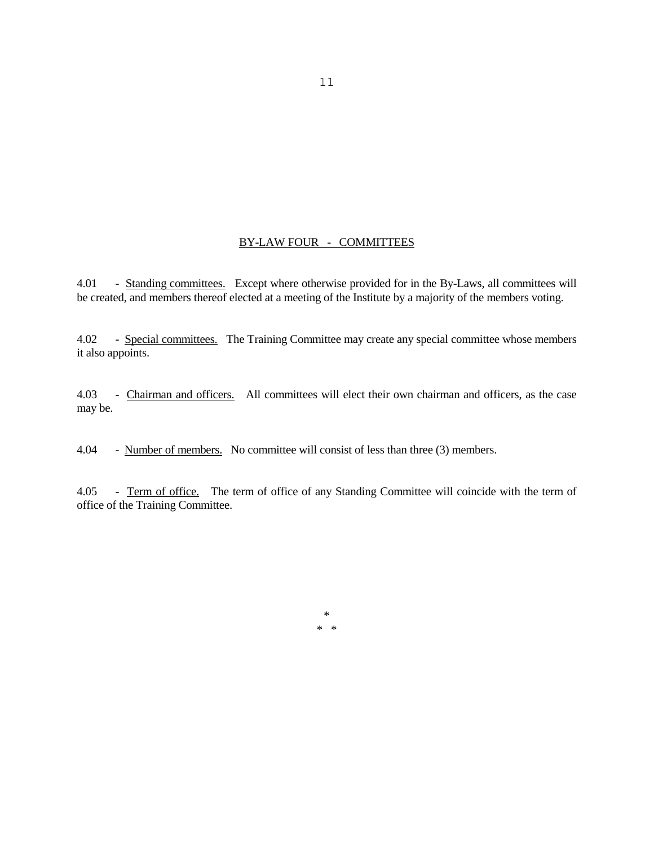# BY-LAW FOUR - COMMITTEES

4.01 - Standing committees. Except where otherwise provided for in the By-Laws, all committees will be created, and members thereof elected at a meeting of the Institute by a majority of the members voting.

4.02 - Special committees. The Training Committee may create any special committee whose members it also appoints.

4.03 - Chairman and officers. All committees will elect their own chairman and officers, as the case may be.

4.04 - Number of members. No committee will consist of less than three (3) members.

4.05 - Term of office. The term of office of any Standing Committee will coincide with the term of office of the Training Committee.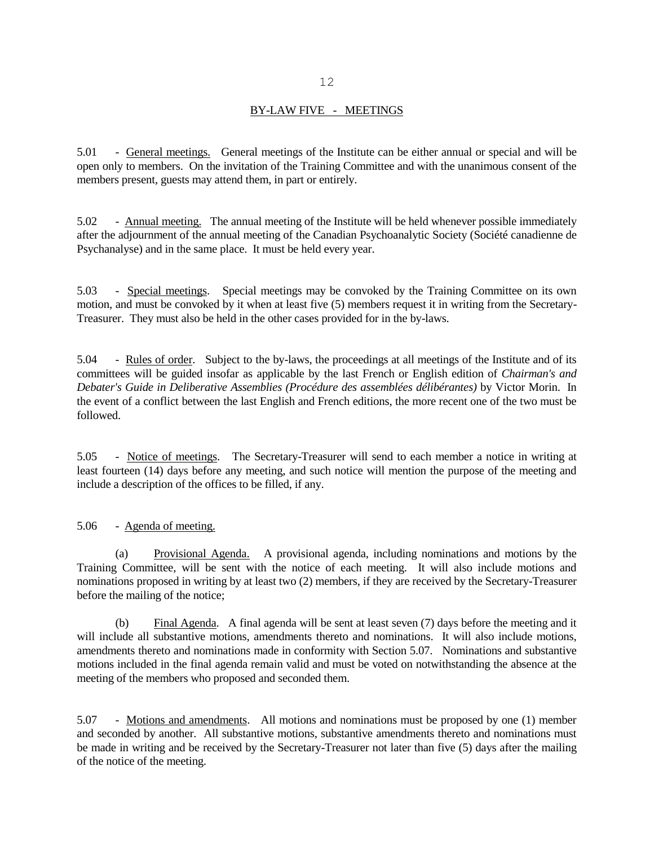## BY-LAW FIVE - MEETINGS

5.01 - General meetings. General meetings of the Institute can be either annual or special and will be open only to members. On the invitation of the Training Committee and with the unanimous consent of the members present, guests may attend them, in part or entirely.

5.02 - Annual meeting. The annual meeting of the Institute will be held whenever possible immediately after the adjournment of the annual meeting of the Canadian Psychoanalytic Society (Société canadienne de Psychanalyse) and in the same place. It must be held every year.

5.03 - Special meetings. Special meetings may be convoked by the Training Committee on its own motion, and must be convoked by it when at least five (5) members request it in writing from the Secretary-Treasurer. They must also be held in the other cases provided for in the by-laws.

5.04 - Rules of order. Subject to the by-laws, the proceedings at all meetings of the Institute and of its committees will be guided insofar as applicable by the last French or English edition of *Chairman's and Debater's Guide in Deliberative Assemblies (Procédure des assemblées délibérantes)* by Victor Morin. In the event of a conflict between the last English and French editions, the more recent one of the two must be followed.

5.05 - Notice of meetings. The Secretary-Treasurer will send to each member a notice in writing at least fourteen (14) days before any meeting, and such notice will mention the purpose of the meeting and include a description of the offices to be filled, if any.

## 5.06 - Agenda of meeting.

(a) Provisional Agenda. A provisional agenda, including nominations and motions by the Training Committee, will be sent with the notice of each meeting. It will also include motions and nominations proposed in writing by at least two (2) members, if they are received by the Secretary-Treasurer before the mailing of the notice;

(b) Final Agenda. A final agenda will be sent at least seven (7) days before the meeting and it will include all substantive motions, amendments thereto and nominations. It will also include motions, amendments thereto and nominations made in conformity with Section 5.07. Nominations and substantive motions included in the final agenda remain valid and must be voted on notwithstanding the absence at the meeting of the members who proposed and seconded them.

5.07 - Motions and amendments. All motions and nominations must be proposed by one (1) member and seconded by another. All substantive motions, substantive amendments thereto and nominations must be made in writing and be received by the Secretary-Treasurer not later than five (5) days after the mailing of the notice of the meeting.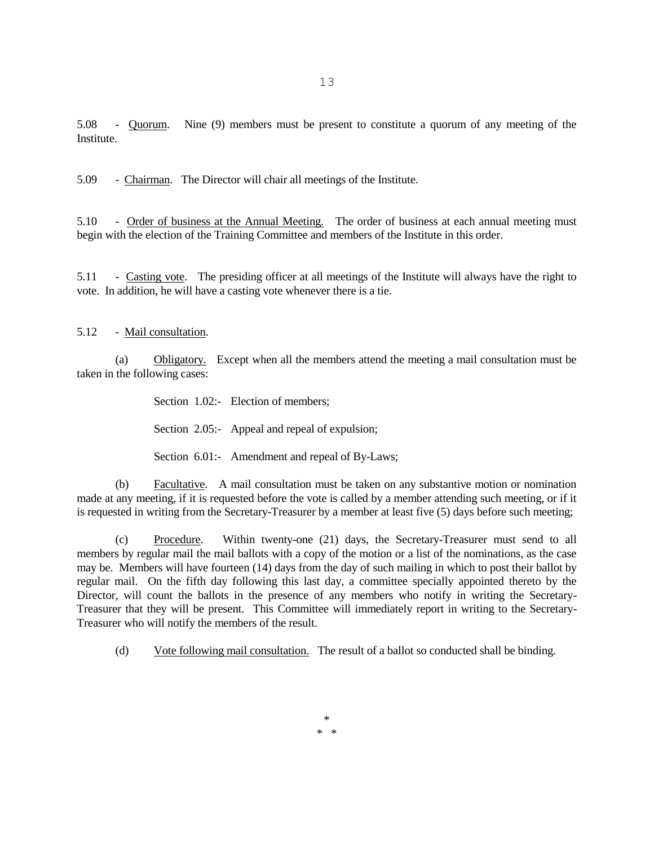5.08 - Quorum. Nine (9) members must be present to constitute a quorum of any meeting of the Institute.

5.09 - Chairman. The Director will chair all meetings of the Institute.

5.10 - Order of business at the Annual Meeting. The order of business at each annual meeting must begin with the election of the Training Committee and members of the Institute in this order.

5.11 - Casting vote. The presiding officer at all meetings of the Institute will always have the right to vote. In addition, he will have a casting vote whenever there is a tie.

5.12 - Mail consultation.

(a) Obligatory. Except when all the members attend the meeting a mail consultation must be taken in the following cases:

Section 1.02:- Election of members;

Section 2.05:- Appeal and repeal of expulsion;

Section 6.01:- Amendment and repeal of By-Laws;

(b) Facultative. A mail consultation must be taken on any substantive motion or nomination made at any meeting, if it is requested before the vote is called by a member attending such meeting, or if it is requested in writing from the Secretary-Treasurer by a member at least five (5) days before such meeting;

(c) Procedure. Within twenty-one (21) days, the Secretary-Treasurer must send to all members by regular mail the mail ballots with a copy of the motion or a list of the nominations, as the case may be. Members will have fourteen (14) days from the day of such mailing in which to post their ballot by regular mail. On the fifth day following this last day, a committee specially appointed thereto by the Director, will count the ballots in the presence of any members who notify in writing the Secretary-Treasurer that they will be present. This Committee will immediately report in writing to the Secretary-Treasurer who will notify the members of the result.

(d) Vote following mail consultation. The result of a ballot so conducted shall be binding.

13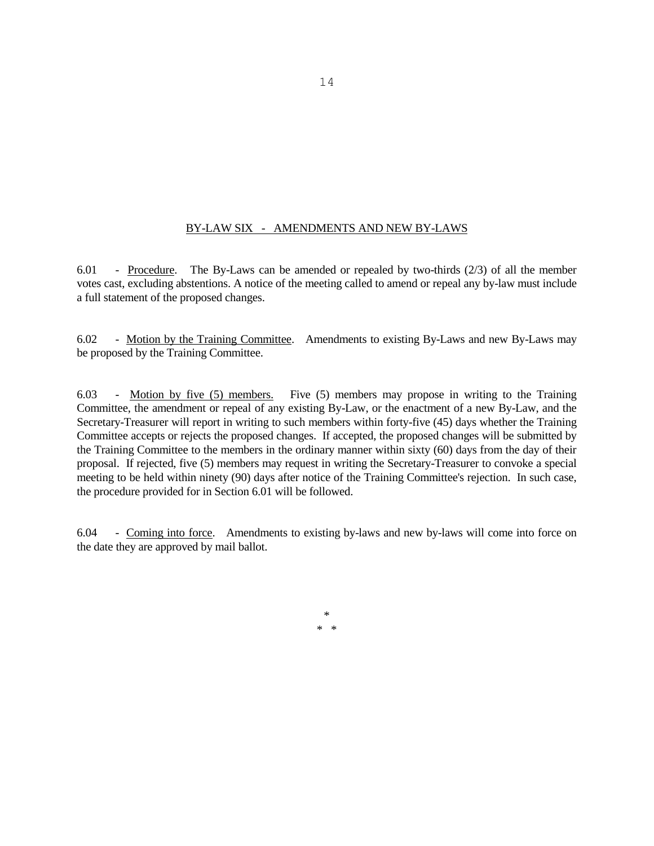## BY-LAW SIX - AMENDMENTS AND NEW BY-LAWS

6.01 - Procedure. The By-Laws can be amended or repealed by two-thirds (2/3) of all the member votes cast, excluding abstentions. A notice of the meeting called to amend or repeal any by-law must include a full statement of the proposed changes.

6.02 - Motion by the Training Committee. Amendments to existing By-Laws and new By-Laws may be proposed by the Training Committee.

6.03 - Motion by five (5) members. Five (5) members may propose in writing to the Training Committee, the amendment or repeal of any existing By-Law, or the enactment of a new By-Law, and the Secretary-Treasurer will report in writing to such members within forty-five (45) days whether the Training Committee accepts or rejects the proposed changes. If accepted, the proposed changes will be submitted by the Training Committee to the members in the ordinary manner within sixty (60) days from the day of their proposal. If rejected, five (5) members may request in writing the Secretary-Treasurer to convoke a special meeting to be held within ninety (90) days after notice of the Training Committee's rejection. In such case, the procedure provided for in Section 6.01 will be followed.

6.04 - Coming into force. Amendments to existing by-laws and new by-laws will come into force on the date they are approved by mail ballot.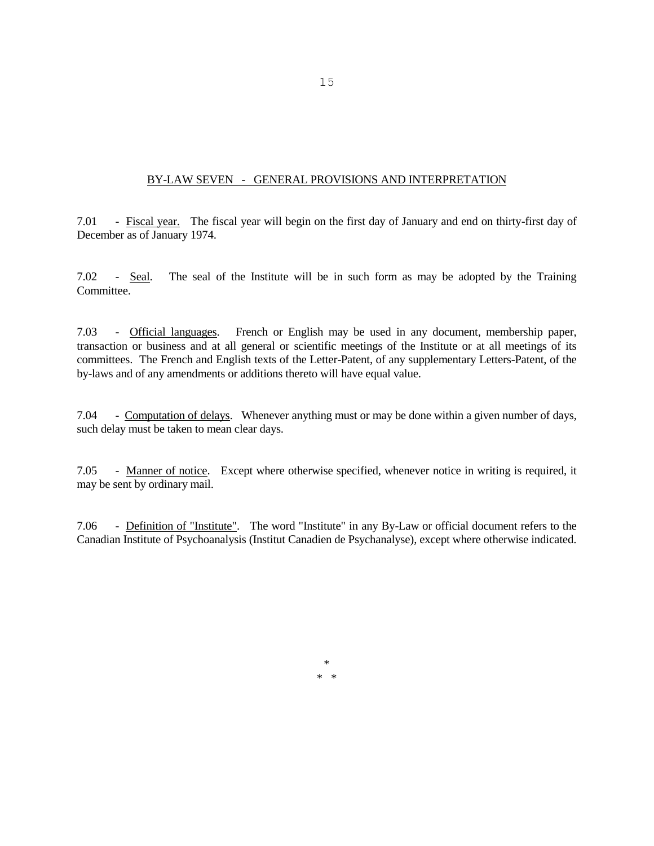## BY-LAW SEVEN - GENERAL PROVISIONS AND INTERPRETATION

7.01 - Fiscal year. The fiscal year will begin on the first day of January and end on thirty-first day of December as of January 1974.

7.02 - Seal. The seal of the Institute will be in such form as may be adopted by the Training Committee.

7.03 - Official languages. French or English may be used in any document, membership paper, transaction or business and at all general or scientific meetings of the Institute or at all meetings of its committees. The French and English texts of the Letter-Patent, of any supplementary Letters-Patent, of the by-laws and of any amendments or additions thereto will have equal value.

7.04 - Computation of delays. Whenever anything must or may be done within a given number of days, such delay must be taken to mean clear days.

7.05 - Manner of notice. Except where otherwise specified, whenever notice in writing is required, it may be sent by ordinary mail.

7.06 - Definition of "Institute". The word "Institute" in any By-Law or official document refers to the Canadian Institute of Psychoanalysis (Institut Canadien de Psychanalyse), except where otherwise indicated.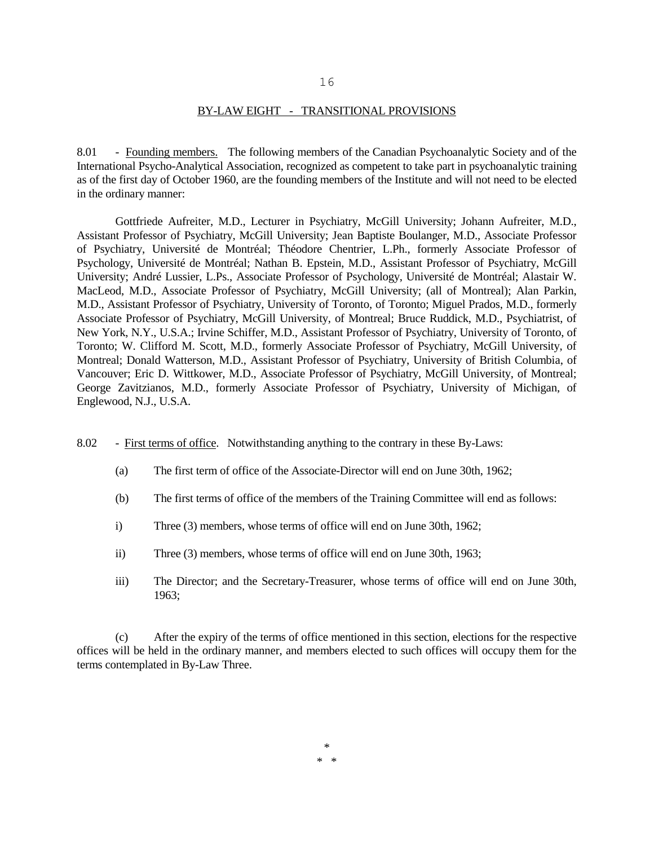## BY-LAW EIGHT - TRANSITIONAL PROVISIONS

8.01 - Founding members. The following members of the Canadian Psychoanalytic Society and of the International Psycho-Analytical Association, recognized as competent to take part in psychoanalytic training as of the first day of October 1960, are the founding members of the Institute and will not need to be elected in the ordinary manner:

Gottfriede Aufreiter, M.D., Lecturer in Psychiatry, McGill University; Johann Aufreiter, M.D., Assistant Professor of Psychiatry, McGill University; Jean Baptiste Boulanger, M.D., Associate Professor of Psychiatry, Université de Montréal; Théodore Chentrier, L.Ph., formerly Associate Professor of Psychology, Université de Montréal; Nathan B. Epstein, M.D., Assistant Professor of Psychiatry, McGill University; André Lussier, L.Ps., Associate Professor of Psychology, Université de Montréal; Alastair W. MacLeod, M.D., Associate Professor of Psychiatry, McGill University; (all of Montreal); Alan Parkin, M.D., Assistant Professor of Psychiatry, University of Toronto, of Toronto; Miguel Prados, M.D., formerly Associate Professor of Psychiatry, McGill University, of Montreal; Bruce Ruddick, M.D., Psychiatrist, of New York, N.Y., U.S.A.; Irvine Schiffer, M.D., Assistant Professor of Psychiatry, University of Toronto, of Toronto; W. Clifford M. Scott, M.D., formerly Associate Professor of Psychiatry, McGill University, of Montreal; Donald Watterson, M.D., Assistant Professor of Psychiatry, University of British Columbia, of Vancouver; Eric D. Wittkower, M.D., Associate Professor of Psychiatry, McGill University, of Montreal; George Zavitzianos, M.D., formerly Associate Professor of Psychiatry, University of Michigan, of Englewood, N.J., U.S.A.

- 8.02 First terms of office. Notwithstanding anything to the contrary in these By-Laws:
	- (a) The first term of office of the Associate-Director will end on June 30th, 1962;
	- (b) The first terms of office of the members of the Training Committee will end as follows:
	- i) Three (3) members, whose terms of office will end on June 30th, 1962;
	- ii) Three (3) members, whose terms of office will end on June 30th, 1963;
	- iii) The Director; and the Secretary-Treasurer, whose terms of office will end on June 30th, 1963;

(c) After the expiry of the terms of office mentioned in this section, elections for the respective offices will be held in the ordinary manner, and members elected to such offices will occupy them for the terms contemplated in By-Law Three.